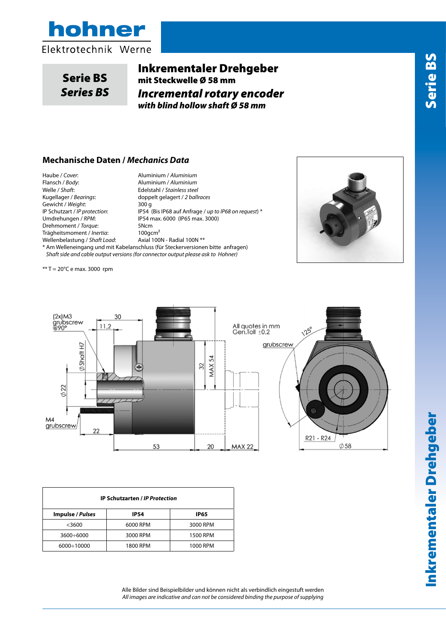



Serie BS *Series BS*

# Inkrementaler Drehgeber mit Steckwelle Ø 58 mm *Incremental rotary encoder with blind hollow shaft Ø 58 mm*

#### **Mechanische Daten /** *Mechanics Data*

Haube / *Cover*: Aluminium / *Aluminium* Flansch / *Body*: Aluminium / *Aluminium* Welle / *Shaft*: Edelstahl / *Stainless steel* Gewicht / Weight: Drehmoment / *Torque*: 5Ncm<br>Trägheitsmoment / *Inertia*: 100gcm<sup>2</sup> Trägheitsmoment / *Inertia*: 100gcm<sup>2</sup><br>Wellenbelastung / Shaft Load: Axial 100N - Radial 100N \*\* Wellenbelastung / Shaft Load:

Kugellager / *Bearings*: doppelt gelagert / *2 ballraces* IP Schutzart / *IP protection*: IP54 (Bis IP68 auf Anfrage / *up to IP68 on request*) \* Umdrehungen / *RPM*: IP54 max. 6000 (IP65 max. 3000) \* Am Welleneingang und mit Kabelanschluss (für Steckerversionen bitte anfragen) *Shaft side and cable output versions (for connector output please ask to Hohner)*



 $** T = 20^{\circ}C$  e max. 3000 rpm



| J<br>125° |                             |
|-----------|-----------------------------|
| crew      |                             |
|           |                             |
| ©         |                             |
|           | R21 - R24<br>$\emptyset$ 58 |

| <b>IP Schutzarten / IP Protection</b> |             |             |  |  |  |  |
|---------------------------------------|-------------|-------------|--|--|--|--|
| <b>Impulse / Pulses</b>               | <b>IP54</b> | <b>IP65</b> |  |  |  |  |
| $<$ 3600                              | 6000 RPM    | 3000 RPM    |  |  |  |  |
| $3600 \div 6000$                      | 3000 RPM    | 1500 RPM    |  |  |  |  |
| $6000 \div 10000$                     | 1800 RPM    | 1000 RPM    |  |  |  |  |

Alle Bilder sind Beispielbilder und können nicht als verbindlich eingestuft werden *All images are indicative and can not be considered binding the purpose of supplying*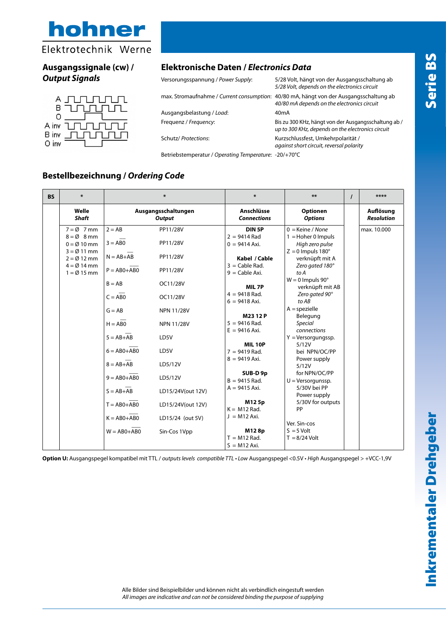

## **Ausgangssignale (cw) /**  *Output Signals*



## **Elektronische Daten /** *Electronics Data*

| Versorungsspannung / Power Supply: | 5/28 Volt, hängt von der Ausgangsschaltung ab<br>5/28 Volt, depends on the electronics circuit                                        |
|------------------------------------|---------------------------------------------------------------------------------------------------------------------------------------|
|                                    | max. Stromaufnahme / Current consumption: 40/80 mA, hängt von der Ausgangsschaltung ab<br>40/80 mA depends on the electronics circuit |
| Ausgangsbelastung / Load:          | 40 <sub>m</sub> A                                                                                                                     |
| Frequenz / Frequency:              | Bis zu 300 KHz, hängt von der Ausgangsschaltung ab /<br>up to 300 KHz, depends on the electronics circuit                             |
| Schutz/ Protections:               | Kurzschlussfest, Umkehrpolarität /<br>against short circuit, reversal polarity                                                        |
|                                    |                                                                                                                                       |

Betriebstemperatur / *Operating Temperature*: -20/+70°C

#### **Bestellbezeichnung /** *Ordering Code*

| <b>BS</b> | $\ast$                                                                                                                                                                    | ∗                                                                                                                                                                                               |                                                                                                                                                                           | $\ast$                                                                                                                                                                                                                                                                                                                            | $***$                                                                                                                                                                                                                                                                                                                                                                                                                                                               | $\prime$ | ****                           |
|-----------|---------------------------------------------------------------------------------------------------------------------------------------------------------------------------|-------------------------------------------------------------------------------------------------------------------------------------------------------------------------------------------------|---------------------------------------------------------------------------------------------------------------------------------------------------------------------------|-----------------------------------------------------------------------------------------------------------------------------------------------------------------------------------------------------------------------------------------------------------------------------------------------------------------------------------|---------------------------------------------------------------------------------------------------------------------------------------------------------------------------------------------------------------------------------------------------------------------------------------------------------------------------------------------------------------------------------------------------------------------------------------------------------------------|----------|--------------------------------|
|           | Welle<br><b>Shaft</b>                                                                                                                                                     | Ausgangsschaltungen<br><b>Output</b>                                                                                                                                                            |                                                                                                                                                                           | Anschlüsse<br><b>Connections</b>                                                                                                                                                                                                                                                                                                  | Optionen<br><b>Options</b>                                                                                                                                                                                                                                                                                                                                                                                                                                          |          | Auflösung<br><b>Resolution</b> |
|           | $7 = \emptyset$ 7 mm<br>$8 = \emptyset$ 8 mm<br>$0 = \emptyset$ 10 mm<br>$3 = \emptyset$ 11 mm<br>$2 = \emptyset$ 12 mm<br>$4 = \emptyset$ 14 mm<br>$1 = \emptyset$ 15 mm | $2 = AB$<br>$3 = A B0$<br>$N = AB+AB$<br>$P = ABO + ABO$<br>$B = AB$<br>$C = A B0$<br>$G = AB$<br>$H = A B0$<br>$5 = AB+AB$<br>$6 = AB0 + AB0$<br>$8 = AB+AB$<br>$9 = AB0 + AB0$<br>$S = AB+AB$ | PP11/28V<br>PP11/28V<br>PP11/28V<br>PP11/28V<br>OC11/28V<br>OC11/28V<br><b>NPN 11/28V</b><br><b>NPN 11/28V</b><br>LD5V<br>LD5V<br>LD5/12V<br>LD5/12V<br>LD15/24V(out 12V) | DIN <sub>5P</sub><br>$2 = 9414$ Rad<br>$0 = 9414$ Axi.<br>Kabel / Cable<br>$3 =$ Cable Rad.<br>$9 =$ Cable Axi.<br>MIL 7P<br>$4 = 9418$ Rad.<br>$6 = 9418$ Axi.<br>M2312P<br>$5 = 9416$ Rad.<br>$E = 9416$ Axi.<br><b>MIL10P</b><br>$7 = 9419$ Rad.<br>$8 = 9419$ Axi.<br>SUB-D 9p<br>$B = 9415$ Rad.<br>$A = 9415$ Axi.<br>M125p | $0 =$ Keine / None<br>$1 =$ Hoher 0 Impuls<br>High zero pulse<br>$Z = 0$ Impuls 180 $^{\circ}$<br>verknüpft mit A<br>Zero gated 180°<br>to A<br>$W = 0$ Impuls 90 $^{\circ}$<br>verknüpft mit AB<br>Zero gated 90°<br>to AB<br>$A = spezielle$<br>Belegung<br><b>Special</b><br>connections<br>$Y =$ Versorgungssp.<br>5/12V<br>bei NPN/OC/PP<br>Power supply<br>5/12V<br>for NPN/OC/PP<br>$U =$ Versorgunssp.<br>5/30V bei PP<br>Power supply<br>5/30V for outputs |          | max. 10.000                    |
|           |                                                                                                                                                                           | $T = AB0+AB0$<br>$K = AB0 + AB0$<br>$W = AB0 + AB0$                                                                                                                                             | LD15/24V(out 12V)<br>LD15/24 (out 5V)<br>Sin-Cos 1Vpp                                                                                                                     | $K = M12$ Rad.<br>$J = M12 Axi.$<br>M128p<br>$T = M12$ Rad.<br>$S = M12 Axi$ .                                                                                                                                                                                                                                                    | PP<br>Ver. Sin-cos<br>$S = 5$ Volt<br>$T = 8/24$ Volt                                                                                                                                                                                                                                                                                                                                                                                                               |          |                                |

**Option U:** Ausgangspegel kompatibel mit TTL / *outputs levels compatible TTL* • *Low* Ausgangspegel <0.5V • *High* Ausgangspegel > +VCC-1,9V